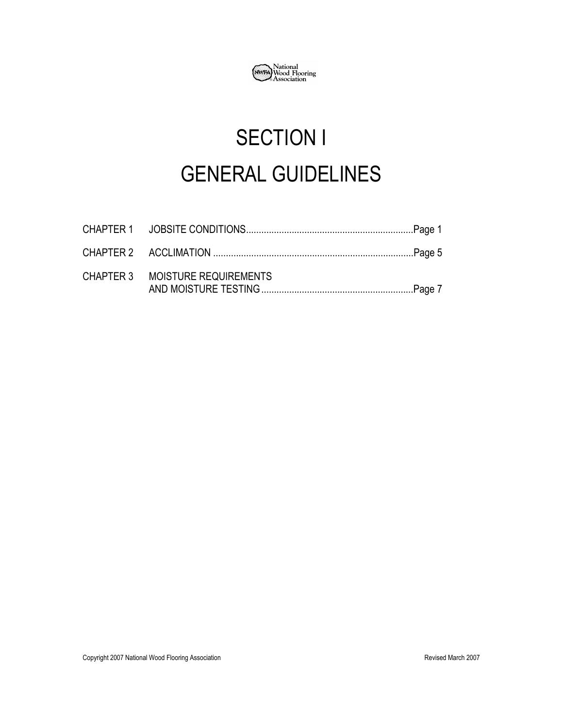

# SECTION I GENERAL GUIDELINES

| CHAPTER 3 MOISTURE REQUIREMENTS |  |
|---------------------------------|--|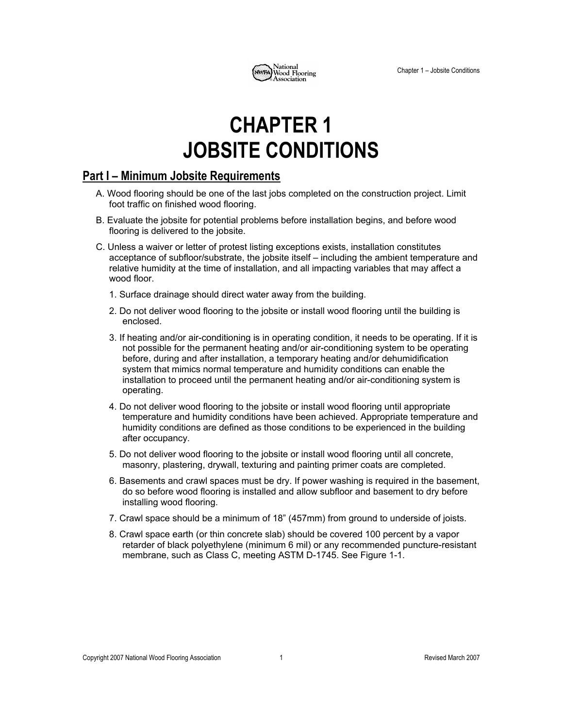

## **CHAPTER 1 JOBSITE CONDITIONS**

## **Part I – Minimum Jobsite Requirements**

- A. Wood flooring should be one of the last jobs completed on the construction project. Limit foot traffic on finished wood flooring.
- B. Evaluate the jobsite for potential problems before installation begins, and before wood flooring is delivered to the jobsite.
- C. Unless a waiver or letter of protest listing exceptions exists, installation constitutes acceptance of subfloor/substrate, the jobsite itself – including the ambient temperature and relative humidity at the time of installation, and all impacting variables that may affect a wood floor.
	- 1. Surface drainage should direct water away from the building.
	- 2. Do not deliver wood flooring to the jobsite or install wood flooring until the building is enclosed.
	- 3. If heating and/or air-conditioning is in operating condition, it needs to be operating. If it is not possible for the permanent heating and/or air-conditioning system to be operating before, during and after installation, a temporary heating and/or dehumidification system that mimics normal temperature and humidity conditions can enable the installation to proceed until the permanent heating and/or air-conditioning system is operating.
	- 4. Do not deliver wood flooring to the jobsite or install wood flooring until appropriate temperature and humidity conditions have been achieved. Appropriate temperature and humidity conditions are defined as those conditions to be experienced in the building after occupancy.
	- 5. Do not deliver wood flooring to the jobsite or install wood flooring until all concrete, masonry, plastering, drywall, texturing and painting primer coats are completed.
	- 6. Basements and crawl spaces must be dry. If power washing is required in the basement, do so before wood flooring is installed and allow subfloor and basement to dry before installing wood flooring.
	- 7. Crawl space should be a minimum of 18" (457mm) from ground to underside of joists.
	- 8. Crawl space earth (or thin concrete slab) should be covered 100 percent by a vapor retarder of black polyethylene (minimum 6 mil) or any recommended puncture-resistant membrane, such as Class C, meeting ASTM D-1745. See Figure 1-1.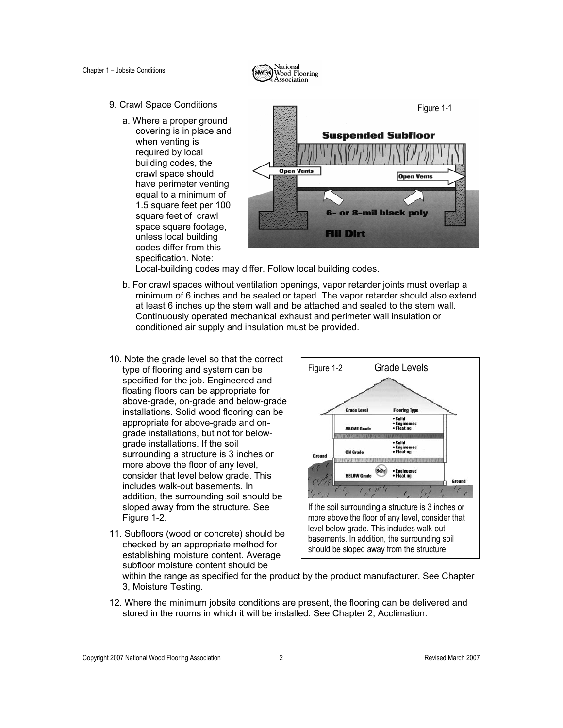

- 9. Crawl Space Conditions
	- a. Where a proper ground covering is in place and when venting is required by local building codes, the crawl space should have perimeter venting equal to a minimum of 1.5 square feet per 100 square feet of crawl space square footage, unless local building codes differ from this specification. Note:



Local-building codes may differ. Follow local building codes.

- b. For crawl spaces without ventilation openings, vapor retarder joints must overlap a minimum of 6 inches and be sealed or taped. The vapor retarder should also extend at least 6 inches up the stem wall and be attached and sealed to the stem wall. Continuously operated mechanical exhaust and perimeter wall insulation or conditioned air supply and insulation must be provided.
- 10. Note the grade level so that the correct type of flooring and system can be specified for the job. Engineered and floating floors can be appropriate for above-grade, on-grade and below-grade installations. Solid wood flooring can be appropriate for above-grade and ongrade installations, but not for belowgrade installations. If the soil surrounding a structure is 3 inches or more above the floor of any level, consider that level below grade. This includes walk-out basements. In addition, the surrounding soil should be sloped away from the structure. See Figure 1-2.
- 11. Subfloors (wood or concrete) should be checked by an appropriate method for establishing moisture content. Average subfloor moisture content should be



within the range as specified for the product by the product manufacturer. See Chapter 3, Moisture Testing.

12. Where the minimum jobsite conditions are present, the flooring can be delivered and stored in the rooms in which it will be installed. See Chapter 2, Acclimation.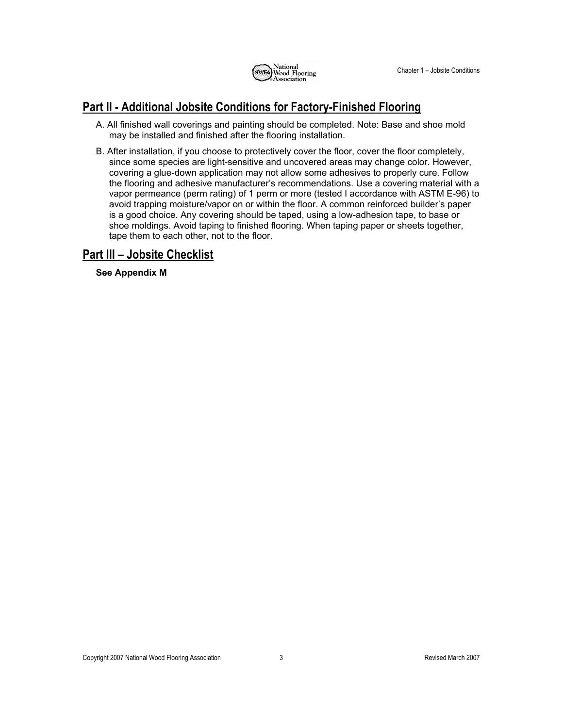

## **Part II - Additional Jobsite Conditions for Factory-Finished Flooring**

- A. All finished wall coverings and painting should be completed. Note: Base and shoe mold may be installed and finished after the flooring installation.
- B. After installation, if you choose to protectively cover the floor, cover the floor completely, since some species are light-sensitive and uncovered areas may change color. However, covering a glue-down application may not allow some adhesives to properly cure. Follow the flooring and adhesive manufacturer's recommendations. Use a covering material with a vapor permeance (perm rating) of 1 perm or more (tested I accordance with ASTM E-96) to avoid trapping moisture/vapor on or within the floor. A common reinforced builder's paper is a good choice. Any covering should be taped, using a low-adhesion tape, to base or shoe moldings. Avoid taping to finished flooring. When taping paper or sheets together, tape them to each other, not to the floor.

## **Part III – Jobsite Checklist**

**See Appendix M**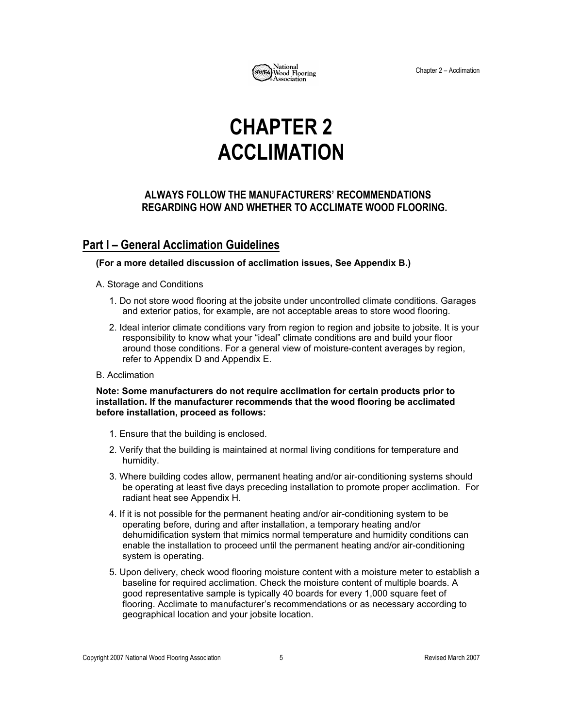

Chapter 2 – Acclimation

## **CHAPTER 2 ACCLIMATION**

### **ALWAYS FOLLOW THE MANUFACTURERS' RECOMMENDATIONS REGARDING HOW AND WHETHER TO ACCLIMATE WOOD FLOORING.**

## **Part I – General Acclimation Guidelines**

#### **(For a more detailed discussion of acclimation issues, See Appendix B.)**

#### A. Storage and Conditions

- 1. Do not store wood flooring at the jobsite under uncontrolled climate conditions. Garages and exterior patios, for example, are not acceptable areas to store wood flooring.
- 2. Ideal interior climate conditions vary from region to region and jobsite to jobsite. It is your responsibility to know what your "ideal" climate conditions are and build your floor around those conditions. For a general view of moisture-content averages by region, refer to Appendix D and Appendix E.

#### B. Acclimation

#### **Note: Some manufacturers do not require acclimation for certain products prior to installation. If the manufacturer recommends that the wood flooring be acclimated before installation, proceed as follows:**

- 1. Ensure that the building is enclosed.
- 2. Verify that the building is maintained at normal living conditions for temperature and humidity.
- 3. Where building codes allow, permanent heating and/or air-conditioning systems should be operating at least five days preceding installation to promote proper acclimation. For radiant heat see Appendix H.
- 4. If it is not possible for the permanent heating and/or air-conditioning system to be operating before, during and after installation, a temporary heating and/or dehumidification system that mimics normal temperature and humidity conditions can enable the installation to proceed until the permanent heating and/or air-conditioning system is operating.
- 5. Upon delivery, check wood flooring moisture content with a moisture meter to establish a baseline for required acclimation. Check the moisture content of multiple boards. A good representative sample is typically 40 boards for every 1,000 square feet of flooring. Acclimate to manufacturer's recommendations or as necessary according to geographical location and your jobsite location.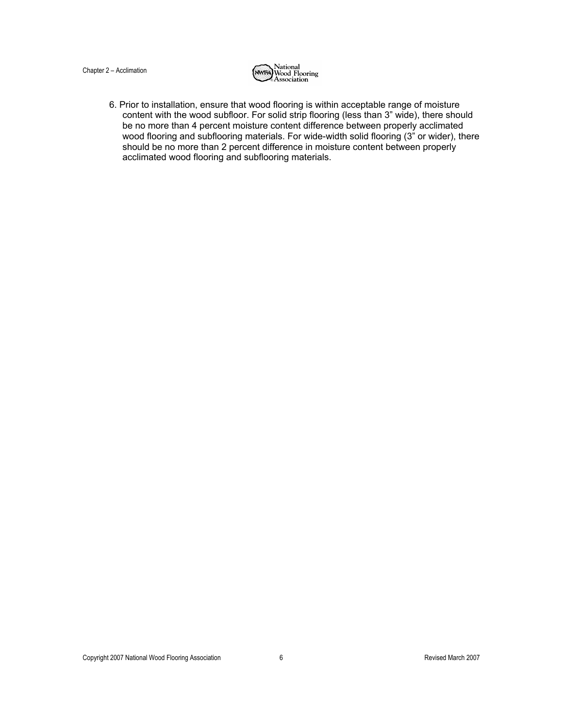#### Chapter 2 – Acclimation



6. Prior to installation, ensure that wood flooring is within acceptable range of moisture content with the wood subfloor. For solid strip flooring (less than 3" wide), there should be no more than 4 percent moisture content difference between properly acclimated wood flooring and subflooring materials. For wide-width solid flooring (3" or wider), there should be no more than 2 percent difference in moisture content between properly acclimated wood flooring and subflooring materials.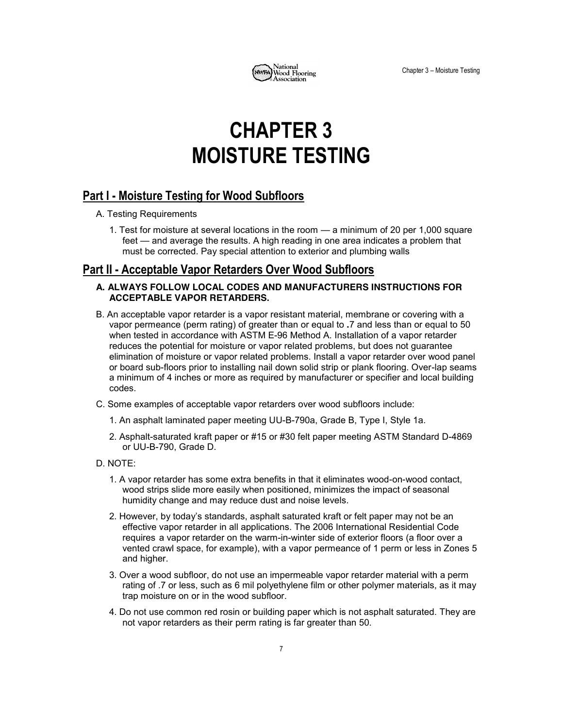

## **CHAPTER 3 MOISTURE TESTING**

## **Part I 4 Moisture Testing for Wood Subfloors**

A. Testing Requirements

1. Test for moisture at several locations in the room  $-$  a minimum of 20 per 1,000 square feet — and average the results. A high reading in one area indicates a problem that must be corrected. Pay special attention to exterior and plumbing walls

## **Part II 4 Acceptable Vapor Retarders Over Wood Subfloors**

#### **A. ALWAYS FOLLOW LOCAL CODES AND MANUFACTURERS INSTRUCTIONS FOR ACCEPTABLE VAPOR RETARDERS.**

- B. An acceptable vapor retarder is a vapor resistant material, membrane or covering with a vapor permeance (perm rating) of greater than or equal to **.**7 and less than or equal to 50 when tested in accordance with ASTM E-96 Method A. Installation of a vapor retarder reduces the potential for moisture or vapor related problems, but does not guarantee elimination of moisture or vapor related problems. Install a vapor retarder over wood panel or board sub-floors prior to installing nail down solid strip or plank flooring. Over-lap seams a minimum of 4 inches or more as required by manufacturer or specifier and local building codes.
- C. Some examples of acceptable vapor retarders over wood subfloors include:
	- 1. An asphalt laminated paper meeting UU-B-790a, Grade B, Type I, Style 1a.
	- 2. Asphalt-saturated kraft paper or #15 or #30 felt paper meeting ASTM Standard D-4869 or UU-B-790, Grade D.
- D. NOTE:
	- 1. A vapor retarder has some extra benefits in that it eliminates wood-on-wood contact, wood strips slide more easily when positioned, minimizes the impact of seasonal humidity change and may reduce dust and noise levels.
	- 2. However, by today's standards, asphalt saturated kraft or felt paper may not be an effective vapor retarder in all applications. The 2006 International Residential Code requires a vapor retarder on the warm-in-winter side of exterior floors (a floor over a vented crawl space, for example), with a vapor permeance of 1 perm or less in Zones 5 and higher.
	- 3. Over a wood subfloor, do not use an impermeable vapor retarder material with a perm rating of .7 or less, such as 6 mil polyethylene film or other polymer materials, as it may trap moisture on or in the wood subfloor.
	- 4. Do not use common red rosin or building paper which is not asphalt saturated. They are not vapor retarders as their perm rating is far greater than 50.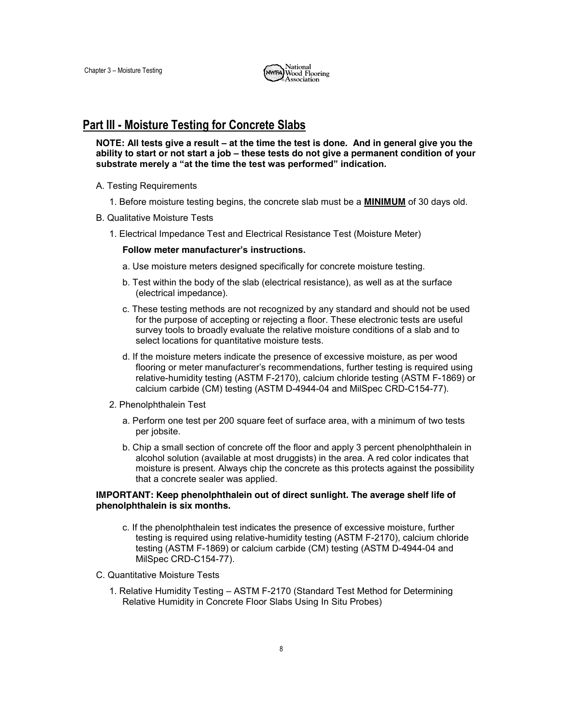

### **Part III - Moisture Testing for Concrete Slabs**

**NOTE: All tests give a result – at the time the test is done. And in general give you the ability to start or not start a job ± these tests do not give a permanent condition of your**  substrate merely a "at the time the test was performed" indication.

- A. Testing Requirements
	- 1. Before moisture testing begins, the concrete slab must be a **MINIMUM** of 30 days old.
- B. Qualitative Moisture Tests
	- 1. Electrical Impedance Test and Electrical Resistance Test (Moisture Meter)

#### **Follow meter manufacturer's instructions.**

- a. Use moisture meters designed specifically for concrete moisture testing.
- b. Test within the body of the slab (electrical resistance), as well as at the surface (electrical impedance).
- c. These testing methods are not recognized by any standard and should not be used for the purpose of accepting or rejecting a floor. These electronic tests are useful survey tools to broadly evaluate the relative moisture conditions of a slab and to select locations for quantitative moisture tests.
- d. If the moisture meters indicate the presence of excessive moisture, as per wood flooring or meter manufacturer's recommendations, further testing is required using relative-humidity testing (ASTM F-2170), calcium chloride testing (ASTM F-1869) or calcium carbide (CM) testing (ASTM D-4944-04 and MilSpec CRD-C154-77).
- 2. Phenolphthalein Test
	- a. Perform one test per 200 square feet of surface area, with a minimum of two tests per jobsite.
	- b. Chip a small section of concrete off the floor and apply 3 percent phenolphthalein in alcohol solution (available at most druggists) in the area. A red color indicates that moisture is present. Always chip the concrete as this protects against the possibility that a concrete sealer was applied.

#### **IMPORTANT: Keep phenolphthalein out of direct sunlight. The average shelf life of phenolphthalein is six months.**

- c. If the phenolphthalein test indicates the presence of excessive moisture, further testing is required using relative-humidity testing (ASTM F-2170), calcium chloride testing (ASTM F-1869) or calcium carbide (CM) testing (ASTM D-4944-04 and MilSpec CRD-C154-77).
- C. Quantitative Moisture Tests
	- 1. Relative Humidity Testing ASTM F-2170 (Standard Test Method for Determining Relative Humidity in Concrete Floor Slabs Using In Situ Probes)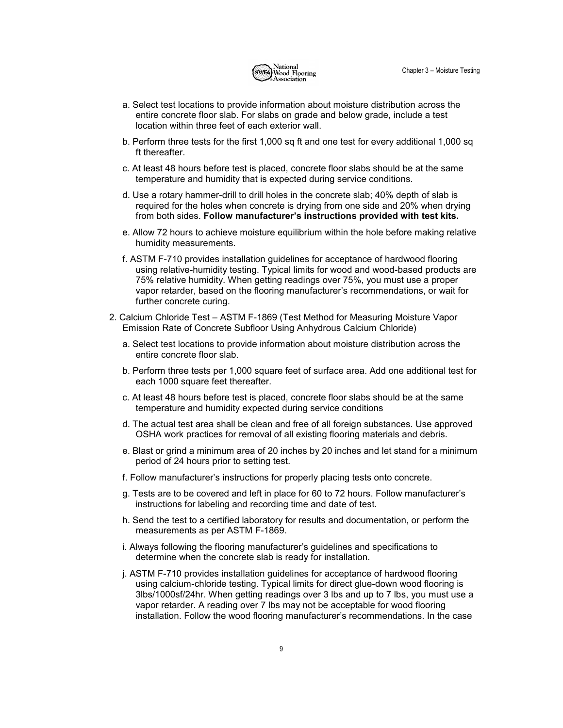

- a. Select test locations to provide information about moisture distribution across the entire concrete floor slab. For slabs on grade and below grade, include a test location within three feet of each exterior wall.
- b. Perform three tests for the first 1,000 sq ft and one test for every additional 1,000 sq ft thereafter.
- c. At least 48 hours before test is placed, concrete floor slabs should be at the same temperature and humidity that is expected during service conditions.
- d. Use a rotary hammer-drill to drill holes in the concrete slab; 40% depth of slab is required for the holes when concrete is drying from one side and 20% when drying from both sides. **Follow manufacturer's instructions provided with test kits.**
- e. Allow 72 hours to achieve moisture equilibrium within the hole before making relative humidity measurements.
- f. ASTM F-710 provides installation guidelines for acceptance of hardwood flooring using relative-humidity testing. Typical limits for wood and wood-based products are 75% relative humidity. When getting readings over 75%, you must use a proper vapor retarder, based on the flooring manufacturer's recommendations, or wait for further concrete curing.
- 2. Calcium Chloride Test ASTM F-1869 (Test Method for Measuring Moisture Vapor Emission Rate of Concrete Subfloor Using Anhydrous Calcium Chloride)
	- a. Select test locations to provide information about moisture distribution across the entire concrete floor slab.
	- b. Perform three tests per 1,000 square feet of surface area. Add one additional test for each 1000 square feet thereafter.
	- c. At least 48 hours before test is placed, concrete floor slabs should be at the same temperature and humidity expected during service conditions
	- d. The actual test area shall be clean and free of all foreign substances. Use approved OSHA work practices for removal of all existing flooring materials and debris.
	- e. Blast or grind a minimum area of 20 inches by 20 inches and let stand for a minimum period of 24 hours prior to setting test.
	- f. Follow manufacturer's instructions for properly placing tests onto concrete.
	- g. Tests are to be covered and left in place for 60 to 72 hours. Follow manufacturer's instructions for labeling and recording time and date of test.
	- h. Send the test to a certified laboratory for results and documentation, or perform the measurements as per ASTM F-1869.
	- i. Always following the flooring manufacturer's guidelines and specifications to determine when the concrete slab is ready for installation.
	- j. ASTM F-710 provides installation guidelines for acceptance of hardwood flooring using calcium-chloride testing. Typical limits for direct glue-down wood flooring is 3lbs/1000sf/24hr. When getting readings over 3 lbs and up to 7 lbs, you must use a vapor retarder. A reading over 7 lbs may not be acceptable for wood flooring installation. Follow the wood flooring manufacturer's recommendations. In the case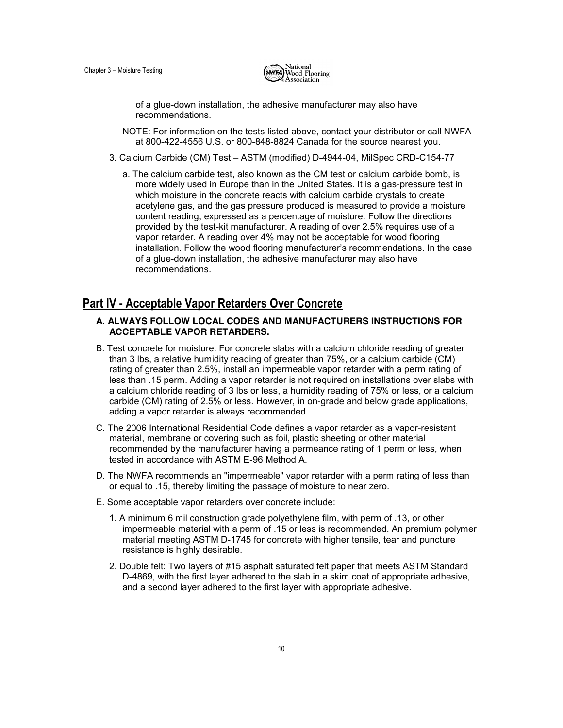

of a glue-down installation, the adhesive manufacturer may also have recommendations.

- NOTE: For information on the tests listed above, contact your distributor or call NWFA at 800-422-4556 U.S. or 800-848-8824 Canada for the source nearest you.
- 3. Calcium Carbide (CM) Test ASTM (modified) D-4944-04, MilSpec CRD-C154-77
	- a. The calcium carbide test, also known as the CM test or calcium carbide bomb, is more widely used in Europe than in the United States. It is a gas-pressure test in which moisture in the concrete reacts with calcium carbide crystals to create acetylene gas, and the gas pressure produced is measured to provide a moisture content reading, expressed as a percentage of moisture. Follow the directions provided by the test-kit manufacturer. A reading of over 2.5% requires use of a vapor retarder. A reading over 4% may not be acceptable for wood flooring installation. Follow the wood flooring manufacturer's recommendations. In the case of a glue-down installation, the adhesive manufacturer may also have recommendations.

### **Part IV 4 Acceptable Vapor Retarders Over Concrete**

#### **A. ALWAYS FOLLOW LOCAL CODES AND MANUFACTURERS INSTRUCTIONS FOR ACCEPTABLE VAPOR RETARDERS.**

- B. Test concrete for moisture. For concrete slabs with a calcium chloride reading of greater than 3 lbs, a relative humidity reading of greater than 75%, or a calcium carbide (CM) rating of greater than 2.5%, install an impermeable vapor retarder with a perm rating of less than .15 perm. Adding a vapor retarder is not required on installations over slabs with a calcium chloride reading of 3 lbs or less, a humidity reading of 75% or less, or a calcium carbide (CM) rating of 2.5% or less. However, in on-grade and below grade applications, adding a vapor retarder is always recommended.
- C. The 2006 International Residential Code defines a vapor retarder as a vapor-resistant material, membrane or covering such as foil, plastic sheeting or other material recommended by the manufacturer having a permeance rating of 1 perm or less, when tested in accordance with ASTM E-96 Method A.
- D. The NWFA recommends an "impermeable" vapor retarder with a perm rating of less than or equal to .15, thereby limiting the passage of moisture to near zero.
- E. Some acceptable vapor retarders over concrete include:
	- 1. A minimum 6 mil construction grade polyethylene film, with perm of .13, or other impermeable material with a perm of .15 or less is recommended. An premium polymer material meeting ASTM D-1745 for concrete with higher tensile, tear and puncture resistance is highly desirable.
	- 2. Double felt: Two layers of #15 asphalt saturated felt paper that meets ASTM Standard D-4869, with the first layer adhered to the slab in a skim coat of appropriate adhesive, and a second layer adhered to the first layer with appropriate adhesive.